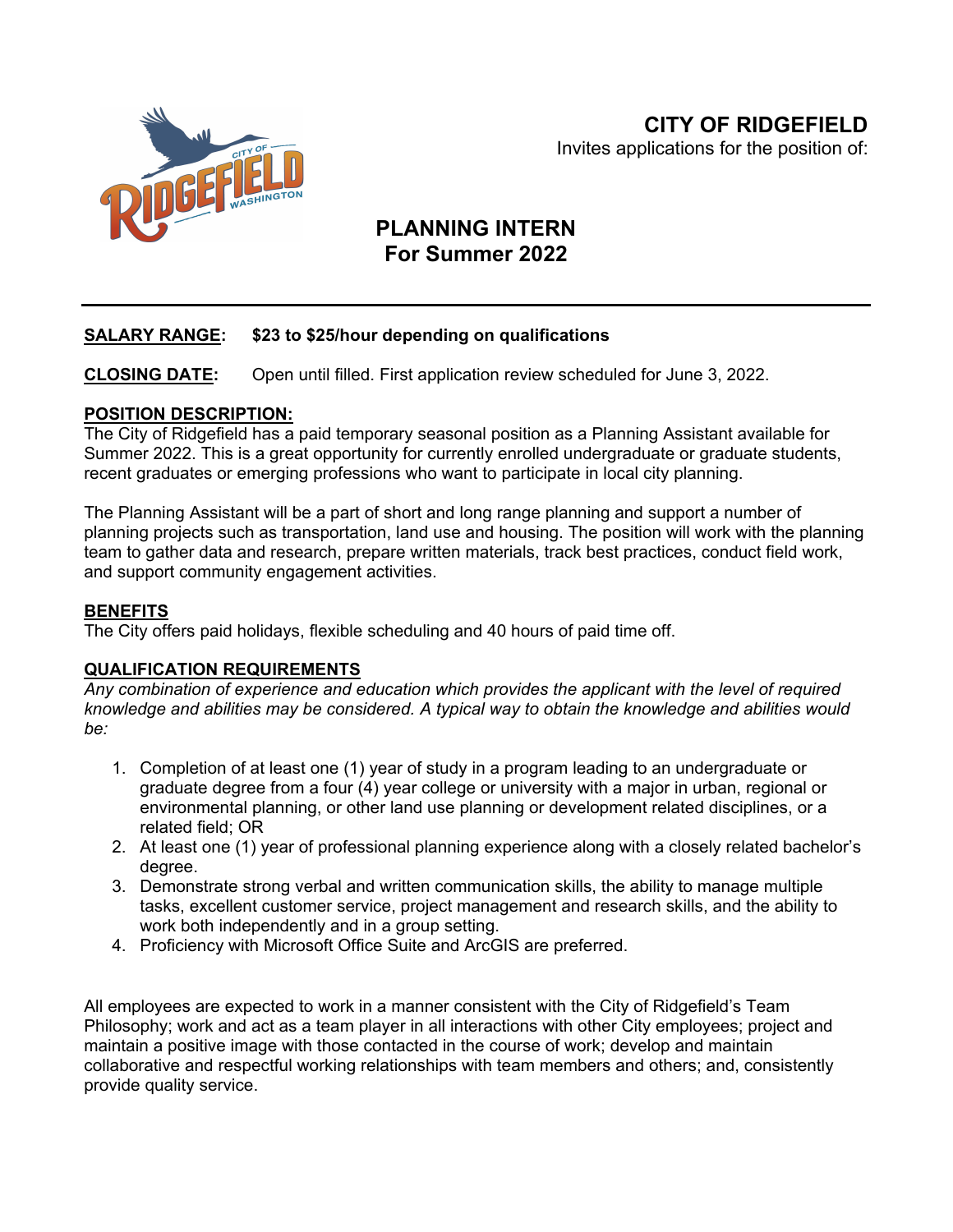

# **PLANNING INTERN For Summer 2022**

## **SALARY RANGE: \$23 to \$25/hour depending on qualifications**

**CLOSING DATE:** Open until filled. First application review scheduled for June 3, 2022.

#### **POSITION DESCRIPTION:**

The City of Ridgefield has a paid temporary seasonal position as a Planning Assistant available for Summer 2022. This is a great opportunity for currently enrolled undergraduate or graduate students, recent graduates or emerging professions who want to participate in local city planning.

The Planning Assistant will be a part of short and long range planning and support a number of planning projects such as transportation, land use and housing. The position will work with the planning team to gather data and research, prepare written materials, track best practices, conduct field work, and support community engagement activities.

### **BENEFITS**

The City offers paid holidays, flexible scheduling and 40 hours of paid time off.

#### **QUALIFICATION REQUIREMENTS**

*Any combination of experience and education which provides the applicant with the level of required knowledge and abilities may be considered. A typical way to obtain the knowledge and abilities would be:*

- 1. Completion of at least one (1) year of study in a program leading to an undergraduate or graduate degree from a four (4) year college or university with a major in urban, regional or environmental planning, or other land use planning or development related disciplines, or a related field; OR
- 2. At least one (1) year of professional planning experience along with a closely related bachelor's degree.
- 3. Demonstrate strong verbal and written communication skills, the ability to manage multiple tasks, excellent customer service, project management and research skills, and the ability to work both independently and in a group setting.
- 4. Proficiency with Microsoft Office Suite and ArcGIS are preferred.

All employees are expected to work in a manner consistent with the City of Ridgefield's Team Philosophy; work and act as a team player in all interactions with other City employees; project and maintain a positive image with those contacted in the course of work; develop and maintain collaborative and respectful working relationships with team members and others; and, consistently provide quality service.